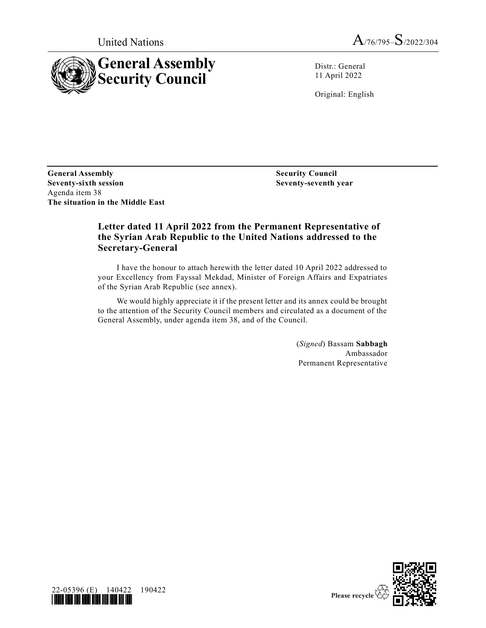



Distr.: General 11 April 2022

Original: English

**General Assembly Security Council Seventy-sixth session** Agenda item 38 **The situation in the Middle East**

**Seventy-seventh year**

## **Letter dated 11 April 2022 from the Permanent Representative of the Syrian Arab Republic to the United Nations addressed to the Secretary-General**

I have the honour to attach herewith the letter dated 10 April 2022 addressed to your Excellency from Fayssal Mekdad, Minister of Foreign Affairs and Expatriates of the Syrian Arab Republic (see annex).

We would highly appreciate it if the present letter and its annex could be brought to the attention of the Security Council members and circulated as a document of the General Assembly, under agenda item 38, and of the Council.

> (*Signed*) Bassam **Sabbagh** Ambassador Permanent Representative